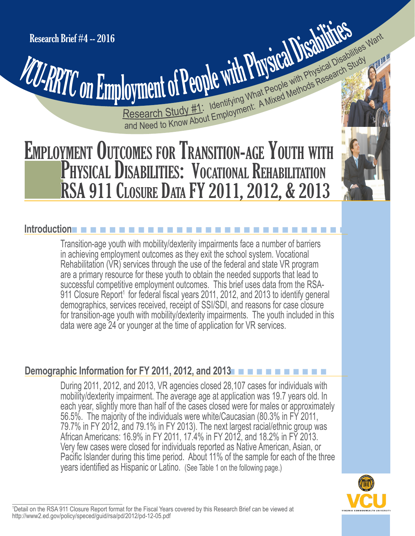Research Brief #4 -- 2016<br>
VCU-RRTC ON Employment of People with Physical Disabilities Research Brief #4 -- 2016

**Cyment of People With Physical Disable Avident Conduct Of People with Physical Disable Study**<br>Research Study #1: Identifying What People with Physical Disable Study **Cyment of People with Physical Disabilities Want** 

# EMPLOYMENT OUTCOMES FOR TRANSITION-AGE YOUTH WITH PHYSICAL DISABILITIES: VOCATIONAL REHABILITATION RSA 911 CLOSURE DATA FY 2011, 2012, & 2013

# **Introduction**

Transition-age youth with mobility/dexterity impairments face a number of barriers in achieving employment outcomes as they exit the school system. Vocational Rehabilitation (VR) services through the use of the federal and state VR program are a primary resource for these youth to obtain the needed supports that lead to successful competitive employment outcomes. This brief uses data from the RSA-911 Closure Report<sup>1</sup> for federal fiscal years 2011, 2012, and 2013 to identify general demographics, services received, receipt of SSI/SDI, and reasons for case closure for transition-age youth with mobility/dexterity impairments. The youth included in this data were age 24 or younger at the time of application for VR services.

# **Demographic Information for FY 2011, 2012, and 2013n n n n n n n n n n n n n**

During 2011, 2012, and 2013, VR agencies closed 28,107 cases for individuals with mobility/dexterity impairment. The average age at application was 19.7 years old. In each year, slightly more than half of the cases closed were for males or approximately 56.5%. The majority of the individuals were white/Caucasian (80.3% in FY 2011, 79.7% in FY 2012, and 79.1% in FY 2013). The next largest racial/ethnic group was African Americans: 16.9% in FY 2011, 17.4% in FY 2012, and 18.2% in FY 2013. Very few cases were closed for individuals reported as Native American, Asian, or Pacific Islander during this time period. About 11% of the sample for each of the three years identified as Hispanic or Latino. (See Table 1 on the following page.)



1 Detail on the RSA 911 Closure Report format for the Fiscal Years covered by this Research Brief can be viewed at <http://www2.ed.gov/policy/speced/guid/rsa/pd/2012/pd-12-05.pdf>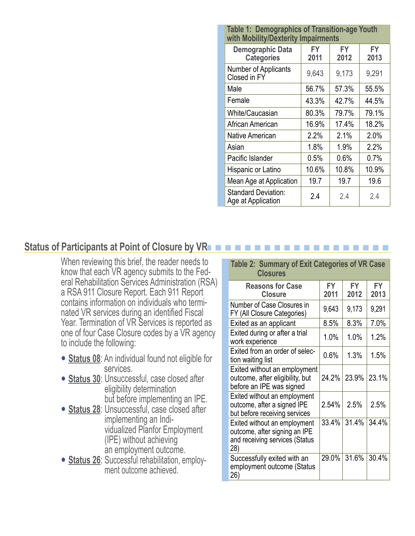| Table 1: Demographics of Transition-age Youth<br>with Mobility/Dexterity Impairments |            |            |                   |  |  |
|--------------------------------------------------------------------------------------|------------|------------|-------------------|--|--|
| <b>Demographic Data</b><br><b>Categories</b>                                         | FY<br>2011 | FY<br>2012 | <b>FY</b><br>2013 |  |  |
| Number of Applicants<br>Closed in FY                                                 | 9,643      | 9,173      | 9,291             |  |  |
| Male                                                                                 | 56.7%      | 57.3%      | 55.5%             |  |  |
| Female                                                                               | 43.3%      | 42.7%      | 44.5%             |  |  |
| White/Caucasian                                                                      | 80.3%      | 79.7%      | 79.1%             |  |  |
| African American                                                                     | 16.9%      | 17.4%      | 18.2%             |  |  |
| Native American                                                                      | 2.2%       | 2.1%       | 2.0%              |  |  |
| Asian                                                                                | 1.8%       | 1.9%       | 2.2%              |  |  |
| Pacific Islander                                                                     | 0.5%       | 0.6%       | $0.7\%$           |  |  |
| Hispanic or Latino                                                                   | 10.6%      | 10.8%      | 10.9%             |  |  |
| Mean Age at Application                                                              | 19.7       | 19.7       | 19.6              |  |  |
| <b>Standard Deviation:</b><br>Age at Application                                     | 2.4        | 2.4        | 2.4               |  |  |

# **Status of Participants at Point of Closure by VR**

When reviewing this brief, the reader needs to know that each VR agency submits to the Fed eral Rehabilitation Services Administration (RSA) a RSA 911 Closure Report. Each 911 Report contains information on individuals who termi nated VR services during an identified Fiscal Year. Termination of VR Services is reported as one of four Case Closure codes by a VR agency to include the following:

- **Status 08**: An individual found not eligible for services.
- eligibility determination **Status 30**: Unsuccessful, case closed after but before implementing an IPE.
- (IPE) without achieving **Status 28**: Unsuccessful, case closed after implementing an Indi vidualized Planfor Employment an employment outcome.
- **Status 26:** Successful rehabilitation, employment outcome achieved.

| Table 2: Summary of Exit Categories of VR Case<br><b>Closures</b>                                      |             |            |                   |
|--------------------------------------------------------------------------------------------------------|-------------|------------|-------------------|
| <b>Reasons for Case</b><br><b>Closure</b>                                                              | FY.<br>2011 | FY<br>2012 | <b>FY</b><br>2013 |
| Number of Case Closures in<br>FY (All Closure Categories)                                              | 9,643       | 9,173      | 9,291             |
| Exited as an applicant                                                                                 | 8.5%        | 8.3%       | 7.0%              |
| Exited during or after a trial<br>work experience                                                      | 1.0%        | 1.0%       | 1.2%              |
| Exited from an order of selec-<br>tion waiting list                                                    | 0.6%        | 1.3%       | 1.5%              |
| Exited without an employment<br>outcome, after eligibility, but<br>before an IPE was signed            | 24.2%       | 23.9%      | 23.1%             |
| Exited without an employment<br>outcome, after a signed IPE<br>but before receiving services           | 2.54%       | 2.5%       | 2.5%              |
| Exited without an employment<br>outcome, after signing an IPE<br>and receiving services (Status<br>28) | 33.4%       | 31.4%      | 34.4%             |
| Successfully exited with an<br>employment outcome (Status<br>26)                                       | 29.0%       | 31.6%      | 30.4%             |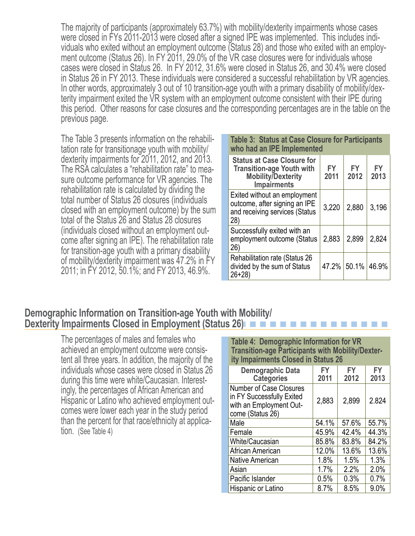The majority of participants (approximately 63.7%) with mobility/dexterity impairments whose cases were closed in FYs 2011-2013 were closed after a signed IPE was implemented. This includes indi viduals who exited without an employment outcome (Status 28) and those who exited with an employ ment outcome (Status 26). In FY 2011, 29.0% of the VR case closures were for individuals whose cases were closed in Status 26. In FY 2012, 31.6% were closed in Status 26, and 30.4% were closed in Status 26 in FY 2013. These individuals were considered a successful rehabilitation by VR agencies. In other words, approximately 3 out of 10 transition-age youth with a primary disability of mobility/dex terity impairment exited the VR system with an employment outcome consistent with their IPE during this period. Other reasons for case closures and the corresponding percentages are in the table on the previous page.

The Table 3 presents information on the rehabili tation rate for transitionage youth with mobility/ dexterity impairments for 2011, 2012, and 2013. The RSA calculates a "rehabilitation rate" to mea sure outcome performance for VR agencies. The rehabilitation rate is calculated by dividing the total number of Status 26 closures (individuals closed with an employment outcome) by the sum total of the Status 26 and Status 28 closures (individuals closed without an employment out come after signing an IPE). The rehabilitation rate for transition-age youth with a primary disability of mobility/dexterity impairment was 47.2% in FY 2011; in FY 2012, 50.1%; and FY 2013, 46.9%.

#### **Table 3: Status at Case Closure for Participants who had an IPE Implemented**

| <b>Status at Case Closure for</b><br><b>Transition-age Youth with</b><br><b>Mobility/Dexterity</b><br><b>Impairments</b> | FY<br>2011 | <b>FY</b><br>2012 | FY<br>2013 |
|--------------------------------------------------------------------------------------------------------------------------|------------|-------------------|------------|
| Exited without an employment<br>outcome, after signing an IPE<br>and receiving services (Status<br>28)                   | 3,220      | 2,880             | 3,196      |
| Successfully exited with an<br>employment outcome (Status<br>26)                                                         | 2,883      | 2,899             | 2,824      |
| Rehabilitation rate (Status 26<br>divided by the sum of Status<br>$26 + 28$                                              |            | 47.2% 50.1%       | 46.9%      |

### **Demographic Information on Transition-age Youth with Mobility/ Dexterity Impairments Closed in Employment (Status 26)**n n n n n n n n n n n n n n n

The percentages of males and females who achieved an employment outcome were consis tent all three years. In addition, the majority of the individuals whose cases were closed in Status 26 during this time were white/Caucasian. Interest ingly, the percentages of African American and Hispanic or Latino who achieved employment out comes were lower each year in the study period than the percent for that race/ethnicity at applica tion. (See Table 4)

**Table 4: Demographic Information for VR Transition-age Participants with Mobility/Dexter ity Impairments Closed in Status 26** 

| <b>Demographic Data</b><br><b>Categories</b>                                                        | FY<br>2011 | FY<br>2012 | FY<br>2013 |
|-----------------------------------------------------------------------------------------------------|------------|------------|------------|
| Number of Case Closures<br>in FY Successfully Exited<br>with an Employment Out-<br>come (Status 26) | 2,883      | 2,899      | 2.824      |
| Male                                                                                                | 54.1%      | 57.6%      | 55.7%      |
| Female                                                                                              | 45.9%      | 42.4%      | 44.3%      |
| <b>White/Caucasian</b>                                                                              | 85.8%      | 83.8%      | 84.2%      |
| African American                                                                                    | 12.0%      | 13.6%      | 13.6%      |
| Native American                                                                                     | 1.8%       | 1.5%       | 1.3%       |
| Asian                                                                                               | 1.7%       | 2.2%       | 2.0%       |
| Pacific Islander                                                                                    | 0.5%       | 0.3%       | 0.7%       |
| Hispanic or Latino                                                                                  | 8.7%       | 8.5%       | 9.0%       |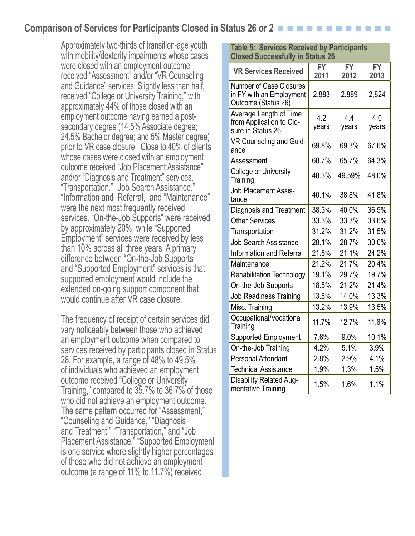# **Comparison of Services for Participants Closed in Status 26 or 28**n n n n n n n n n n n n

Approximately two-thirds of transition-age youth with mobility/dexterity impairments whose cases were closed with an employment outcome received "Assessment" and/or "VR Counseling and Guidance" services. Slightly less than half, received "College or University Training," with approximately 44% of those closed with an employment outcome having earned a post secondary degree (14.5% Associate degree; 24.5% Bachelor degree; and 5% Master degree) prior to VR case closure. Close to 40% of clients whose cases were closed with an employment outcome received "Job Placement Assistance" and/or "Diagnosis and Treatment" services. "Transportation," "Job Search Assistance," "Information and Referral," and "Maintenance" were the next most frequently received services. "On-the-Job Supports" were received by approximately 20%, while "Supported Employment" services were received by less than 10% across all three years. A primary difference between "On-the-Job Supports" and "Supported Employment" services is that supported employment would include the extended on-going support component that would continue after VR case closure.

The frequency of receipt of certain services did vary noticeably between those who achieved an employment outcome when compared to services received by participants closed in Status 28. For example, a range of 48% to 49.5% of individuals who achieved an employment outcome received "College or University Training," compared to 35.7% to 36.7% of those who did not achieve an employment outcome. The same pattern occurred for "Assessment," "Counseling and Guidance," "Diagnosis and Treatment," "Transportation," and "Job Placement Assistance." "Supported Employment" is one service where slightly higher percentages of those who did not achieve an employment outcome (a range of 11% to 11.7%) received

#### **Table 5: Services Received by Participants Closed Successfully in Status 26**

| <b>VR Services Received</b>                                                       | <b>FY</b><br>2011 | <b>FY</b><br>2012 | FY.<br>2013  |
|-----------------------------------------------------------------------------------|-------------------|-------------------|--------------|
| <b>Number of Case Closures</b><br>in FY with an Employment<br>Outcome (Status 26) | 2,883             | 2,889             | 2,824        |
| Average Length of Time<br>from Application to Clo-<br>sure in Status 26           | 4.2<br>years      | 4.4<br>years      | 4.0<br>years |
| <b>VR Counseling and Guid-</b><br>ance                                            | 69.8%             | 69.3%             | 67.6%        |
| Assessment                                                                        | 68.7%             | 65.7%             | 64.3%        |
| College or University<br>Training                                                 | 48.3%             | 49.59%            | 48.0%        |
| <b>Job Placement Assis-</b><br>tance                                              | 40.1%             | 38.8%             | 41.8%        |
| <b>Diagnosis and Treatment</b>                                                    | 38.3%             | 40.0%             | 36.5%        |
| <b>Other Services</b>                                                             | 33.3%             | 33.3%             | 33.6%        |
| Transportation                                                                    | 31.2%             | 31.2%             | 31.5%        |
| <b>Job Search Assistance</b>                                                      | 28.1%             | 28.7%             | 30.0%        |
| <b>Information and Referral</b>                                                   | 21.5%             | 21.1%             | 24.2%        |
| Maintenance                                                                       | 21.2%             | 21.7%             | 20.4%        |
| <b>Rehabilitation Technology</b>                                                  | 19.1%             | 29.7%             | 19.7%        |
| On-the-Job Supports                                                               | 18.5%             | 21.2%             | 21.4%        |
| <b>Job Readiness Training</b>                                                     | 13.8%             | 14.0%             | 13.3%        |
| Misc. Training                                                                    | 13.2%             | 13.9%             | 13.5%        |
| Occupational/Vocational<br>Training                                               | 11.7%             | 12.7%             | 11.6%        |
| Supported Employment                                                              | 7.6%              | 9.0%              | 10.1%        |
| On-the-Job Training                                                               | 4.2%              | 5.1%              | 3.9%         |
| <b>Personal Attendant</b>                                                         | 2.8%              | 2.9%              | 4.1%         |
| <b>Technical Assistance</b>                                                       | 1.9%              | 1.3%              | 1.5%         |
| Disability Related Aug-<br>mentative Training                                     | 1.5%              | 1.6%              | 1.1%         |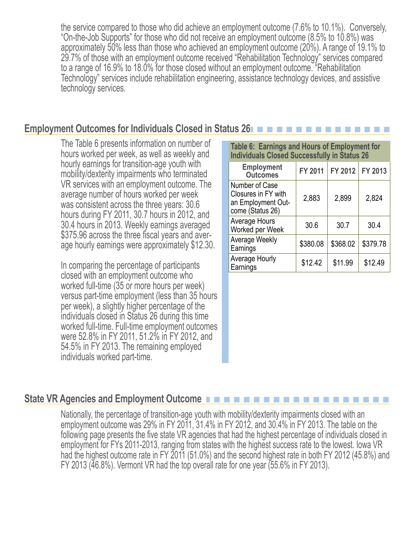the service compared to those who did achieve an employment outcome (7.6% to 10.1%). Conversely, "On-the-Job Supports" for those who did not receive an employment outcome (8.5% to 10.8%) was approximately 50% less than those who achieved an employment outcome (20%). A range of 19.1% to 29.7% of those with an employment outcome received "Rehabilitation Technology" services compared to a range of 16.9% to 18.0% for those closed without an employment outcome. "Rehabilitation Technology" services include rehabilitation engineering, assistance technology devices, and assistive technology services.

# **Employment Outcomes for Individuals Closed in Status 26**n n n n n n n n n n n n n n n

The Table 6 presents information on number of hours worked per week, as well as weekly and hourly earnings for transition-age youth with mobility/dexterity impairments who terminated VR services with an employment outcome. The average number of hours worked per week was consistent across the three years: 30.6 hours during FY 2011, 30.7 hours in 2012, and<br>30.4 hours in 2013. Weekly earnings averaged \$375.96 across the three fiscal years and average hourly earnings were approximately \$12.30.

In comparing the percentage of participants closed with an employment outcome who worked full-time (35 or more hours per week) versus part-time employment (less than 35 hours per week), a slightly higher percentage of the individuals closed in Status 26 during this time worked full-time. Full-time employment outcomes were 52.8% in FY 2011, 51.2% in FY 2012, and 54.5% in FY 2013. The remaining employed individuals worked part-time.

**Table 6: Earnings and Hours of Employment for Individuals Closed Successfully in Status 26** 

| <b>Employment</b><br><b>Outcomes</b>                                            | <b>FY 2011</b> | FY 2012  | <b>FY 2013</b> |
|---------------------------------------------------------------------------------|----------------|----------|----------------|
| Number of Case<br>Closures in FY with<br>an Employment Out-<br>come (Status 26) | 2,883          | 2,899    | 2,824          |
| Average Hours<br>Worked per Week                                                | 30.6           | 30.7     | 30.4           |
| Average Weekly<br>Earnings                                                      | \$380.08       | \$368.02 | \$379.78       |
| Average Hourly<br>Earnings                                                      | \$12.42        | \$11.99  | \$12.49        |

## **State VR Agencies and Employment Outcomes**n n n n n n n n n n n n n n n n n n n

Nationally, the percentage of transition-age youth with mobility/dexterity impairments closed with an employment outcome was 29% in FY 2011, 31.4% in FY 2012, and 30.4% in FY 2013. The table on the following page presents the five state VR agencies that had the highest percentage of individuals closed in employment for FYs 2011-2013, ranging from states with the highest success rate to the lowest. Iowa VR had the highest outcome rate in FY 2011 (51.0%) and the second highest rate in both FY 2012 (45.8%) and FY 2013 (46.8%). Vermont VR had the top overall rate for one year (55.6% in FY 2013).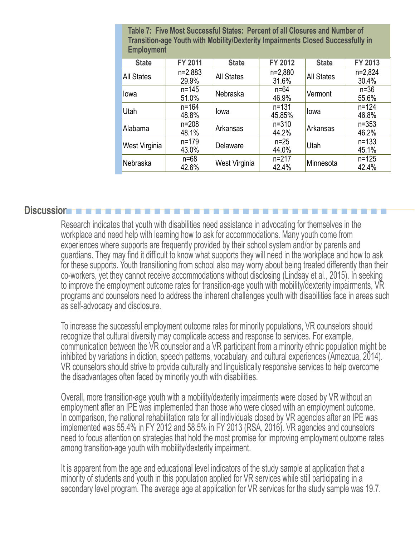| Employment        |                    |                   |                     |                   |                    |
|-------------------|--------------------|-------------------|---------------------|-------------------|--------------------|
| <b>State</b>      | <b>FY 2011</b>     | <b>State</b>      | FY 2012             | <b>State</b>      | FY 2013            |
| <b>All States</b> | $n=2,883$<br>29.9% | <b>All States</b> | $n=2,880$<br>31.6%  | <b>All States</b> | n=2,824<br>30.4%   |
| lowa              | $n = 145$<br>51.0% | Nebraska          | $n = 64$<br>46.9%   | Vermont           | $n=36$<br>55.6%    |
| <b>Utah</b>       | n=164<br>48.8%     | lowa              | $n = 131$<br>45.85% | lowa              | $n = 124$<br>46.8% |
| Alabama           | $n = 208$<br>48.1% | Arkansas          | $n = 310$<br>44.2%  | Arkansas          | $n = 353$<br>46.2% |
| West Virginia     | n=179<br>43.0%     | Delaware          | $n = 25$<br>44.0%   | Utah              | $n = 133$<br>45.1% |
| Nebraska          | $n=68$<br>42.6%    | West Virginia     | $n = 217$<br>42.4%  | Minnesota         | $n = 125$<br>42.4% |

**Table 7: Five Most Successful States: Percent of all Closures and Number of Transition-age Youth with Mobility/Dexterity Impairments Closed Successfully in Employment** 

#### Discussionn n

Research indicates that youth with disabilities need assistance in advocating for themselves in the workplace and need help with learning how to ask for accommodations. Many youth come from experiences where supports are frequently provided by their school system and/or by parents and guardians. They may find it difficult to know what supports they will need in the workplace and how to ask for these supports. Youth transitioning from school also may worry about being treated differently than their co-workers, yet they cannot receive accommodations without disclosing (Lindsay et al., 2015). In seeking to improve the employment outcome rates for transition-age youth with mobility/dexterity impairments, VR programs and counselors need to address the inherent challenges youth with disabilities face in areas such as self-advocacy and disclosure.

To increase the successful employment outcome rates for minority populations, VR counselors should recognize that cultural diversity may complicate access and response to services. For example, communication between the VR counselor and a VR participant from a minority ethnic population might be inhibited by variations in diction, speech patterns, vocabulary, and cultural experiences (Amezcua, 2014). VR counselors should strive to provide culturally and linguistically responsive services to help overcome the disadvantages often faced by minority youth with disabilities.

Overall, more transition-age youth with a mobility/dexterity impairments were closed by VR without an employment after an IPE was implemented than those who were closed with an employment outcome. In comparison, the national rehabilitation rate for all individuals closed by VR agencies after an IPE was implemented was 55.4% in FY 2012 and 58.5% in FY 2013 (RSA, 2016). VR agencies and counselors need to focus attention on strategies that hold the most promise for improving employment outcome rates among transition-age youth with mobility/dexterity impairment.

It is apparent from the age and educational level indicators of the study sample at application that a minority of students and youth in this population applied for VR services while still participating in a secondary level program. The average age at application for VR services for the study sample was 19.7.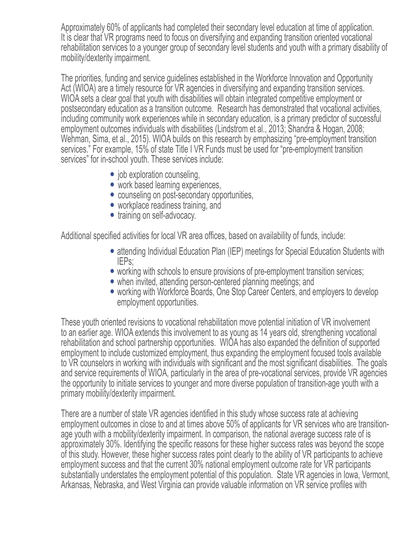Approximately 60% of applicants had completed their secondary level education at time of application. It is clear that VR programs need to focus on diversifying and expanding transition oriented vocational rehabilitation services to a younger group of secondary level students and youth with a primary disability of mobility/dexterity impairment.

The priorities, funding and service guidelines established in the Workforce Innovation and Opportunity Act (WIOA) are a timely resource for VR agencies in diversifying and expanding transition services. WIOA sets a clear goal that youth with disabilities will obtain integrated competitive employment or postsecondary education as a transition outcome. Research has demonstrated that vocational activities, including community work experiences while in secondary education, is a primary predictor of successful employment outcomes individuals with disabilities (Lindstrom et al., 2013; Shandra & Hogan, 2008; Wehman, Sima, et al., 2015). WIOA builds on this research by emphasizing "pre-employment transition services." For example, 15% of state Title I VR Funds must be used for "pre-employment transition services" for in-school youth. These services include:

- $\bullet$  job exploration counseling,
- work based learning experiences,
- counseling on post-secondary opportunities,
- workplace readiness training, and
- training on self-advocacy.

Additional specified activities for local VR area offices, based on availability of funds, include:

- attending Individual Education Plan (IEP) meetings for Special Education Students with IEPs;
- working with schools to ensure provisions of pre-employment transition services;
- when invited, attending person-centered planning meetings; and
- working with Workforce Boards, One Stop Career Centers, and employers to develop employment opportunities.

These youth oriented revisions to vocational rehabilitation move potential initiation of VR involvement to an earlier age. WIOA extends this involvement to as young as 14 years old, strengthening vocational rehabilitation and school partnership opportunities. WIOA has also expanded the definition of supported employment to include customized employment, thus expanding the employment focused tools available to VR counselors in working with individuals with significant and the most significant disabilities. The goals and service requirements of WIOA, particularly in the area of pre-vocational services, provide VR agencies the opportunity to initiate services to younger and more diverse population of transition-age youth with a primary mobility/dexterity impairment.

There are a number of state VR agencies identified in this study whose success rate at achieving employment outcomes in close to and at times above 50% of applicants for VR services who are transitionage youth with a mobility/dexterity impairment. In comparison, the national average success rate of is approximately 30%. Identifying the specific reasons for these higher success rates was beyond the scope of this study. However, these higher success rates point clearly to the ability of VR participants to achieve employment success and that the current 30% national employment outcome rate for VR participants substantially understates the employment potential of this population. State VR agencies in Iowa, Vermont, Arkansas, Nebraska, and West Virginia can provide valuable information on VR service profiles with